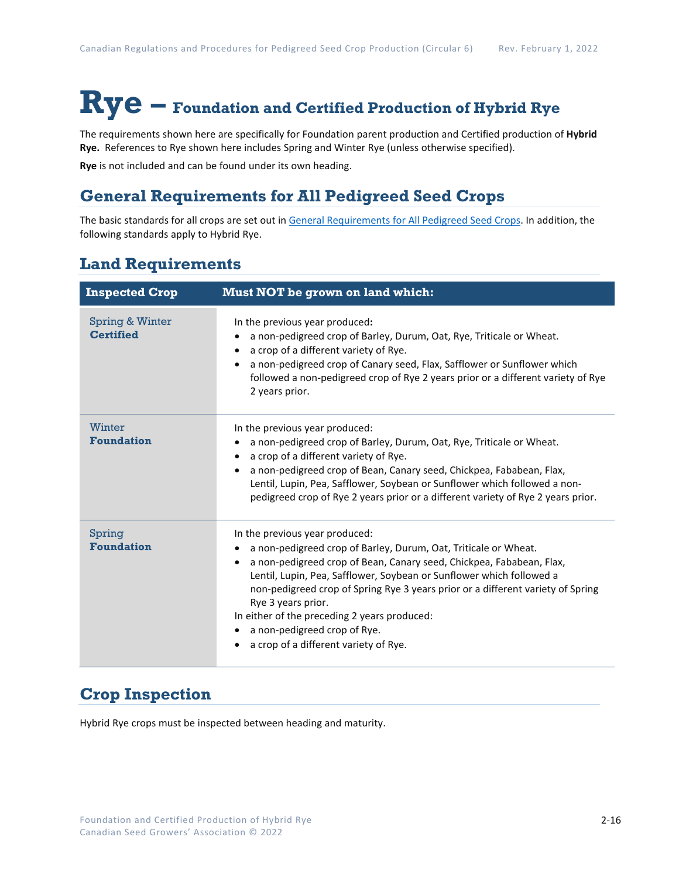# **Rye – Foundation and Certified Production of Hybrid Rye**

The requirements shown here are specifically for Foundation parent production and Certified production of **Hybrid Rye.** References to Rye shown here includes Spring and Winter Rye (unless otherwise specified).

**Rye** is not included and can be found under its own heading.

## **General Requirements for All Pedigreed Seed Crops**

The basic standards for all crops are set out i[n General Requirements for All Pedigreed Seed](https://seedgrowers.ca/wp-content/uploads/2020/01/GENERAL-REQUIREMENTS-ALL-CROPS_EN.pdf) Crops. In addition, the following standards apply to Hybrid Rye.

## **Land Requirements**

| <b>Inspected Crop</b>               | <b>Must NOT be grown on land which:</b>                                                                                                                                                                                                                                                                                                                                                                                                                                                          |
|-------------------------------------|--------------------------------------------------------------------------------------------------------------------------------------------------------------------------------------------------------------------------------------------------------------------------------------------------------------------------------------------------------------------------------------------------------------------------------------------------------------------------------------------------|
| Spring & Winter<br><b>Certified</b> | In the previous year produced:<br>a non-pedigreed crop of Barley, Durum, Oat, Rye, Triticale or Wheat.<br>a crop of a different variety of Rye.<br>a non-pedigreed crop of Canary seed, Flax, Safflower or Sunflower which<br>followed a non-pedigreed crop of Rye 2 years prior or a different variety of Rye<br>2 years prior.                                                                                                                                                                 |
| Winter<br><b>Foundation</b>         | In the previous year produced:<br>a non-pedigreed crop of Barley, Durum, Oat, Rye, Triticale or Wheat.<br>a crop of a different variety of Rye.<br>$\bullet$<br>a non-pedigreed crop of Bean, Canary seed, Chickpea, Fababean, Flax,<br>Lentil, Lupin, Pea, Safflower, Soybean or Sunflower which followed a non-<br>pedigreed crop of Rye 2 years prior or a different variety of Rye 2 years prior.                                                                                            |
| Spring<br><b>Foundation</b>         | In the previous year produced:<br>a non-pedigreed crop of Barley, Durum, Oat, Triticale or Wheat.<br>a non-pedigreed crop of Bean, Canary seed, Chickpea, Fababean, Flax,<br>$\bullet$<br>Lentil, Lupin, Pea, Safflower, Soybean or Sunflower which followed a<br>non-pedigreed crop of Spring Rye 3 years prior or a different variety of Spring<br>Rye 3 years prior.<br>In either of the preceding 2 years produced:<br>a non-pedigreed crop of Rye.<br>a crop of a different variety of Rye. |

## **Crop Inspection**

Hybrid Rye crops must be inspected between heading and maturity.